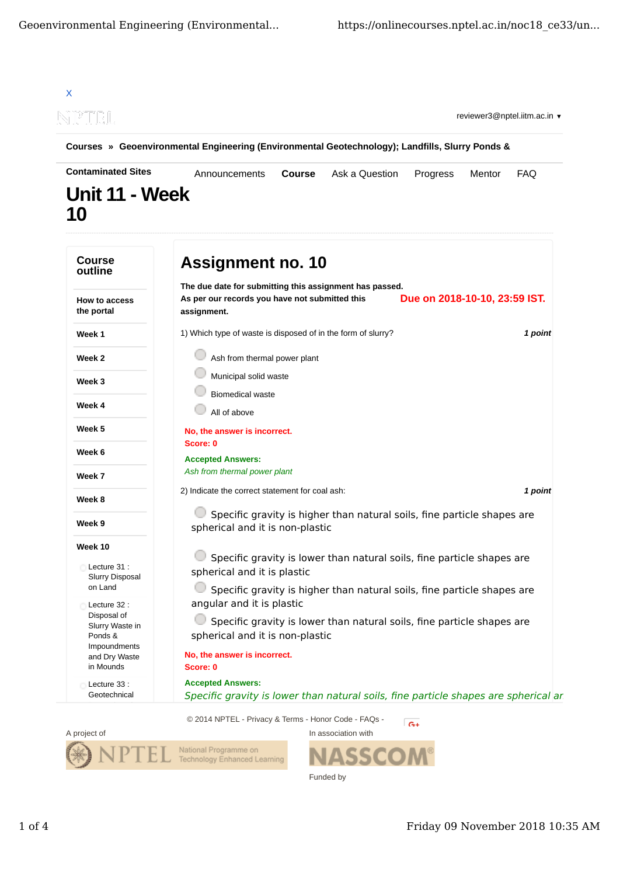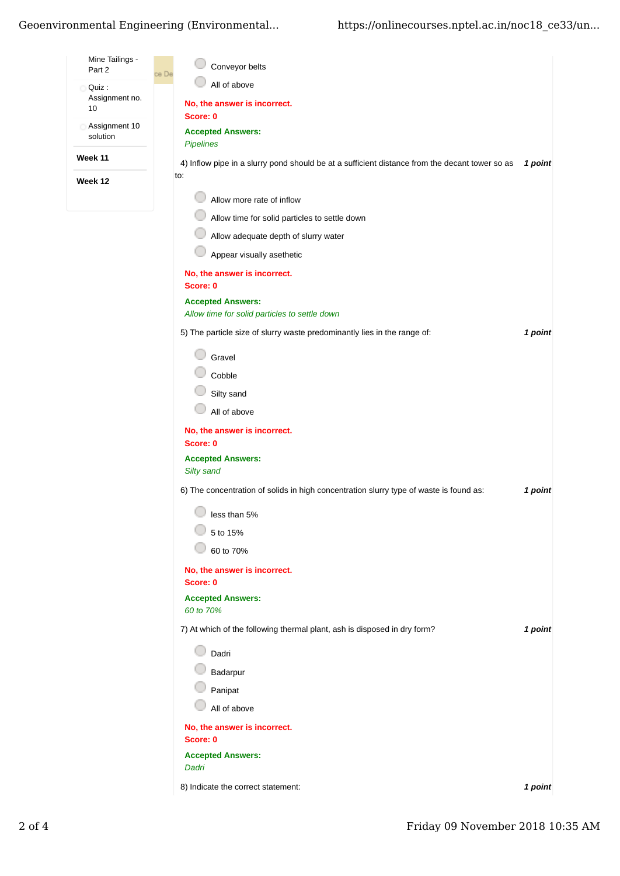## Geoenvironmental Engineering (Environmental...

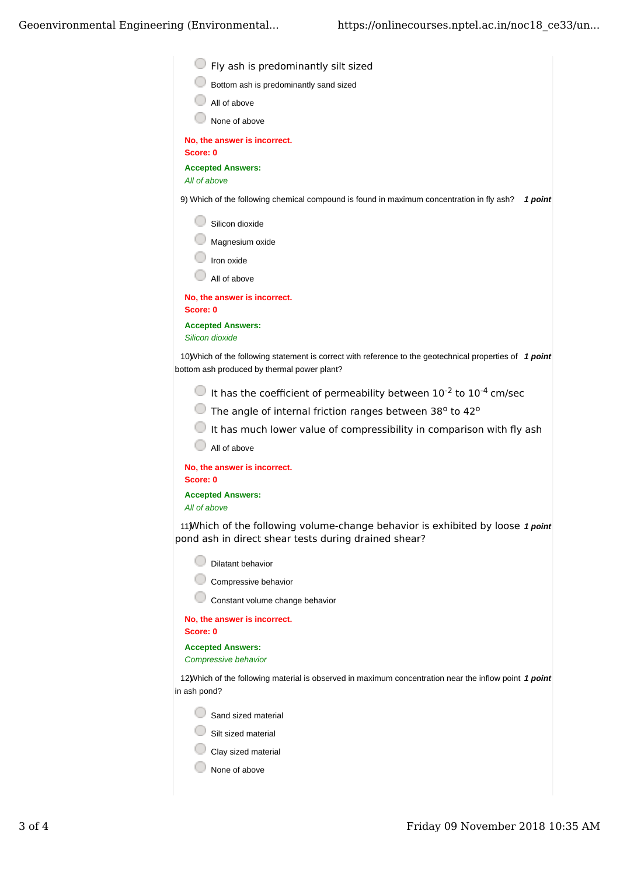| Fly ash is predominantly silt sized                                                                                                                     |
|---------------------------------------------------------------------------------------------------------------------------------------------------------|
| Bottom ash is predominantly sand sized                                                                                                                  |
| All of above                                                                                                                                            |
| None of above                                                                                                                                           |
| No, the answer is incorrect.<br>Score: 0                                                                                                                |
| <b>Accepted Answers:</b><br>All of above                                                                                                                |
| 9) Which of the following chemical compound is found in maximum concentration in fly ash?<br>1 point                                                    |
| Silicon dioxide                                                                                                                                         |
| Magnesium oxide                                                                                                                                         |
| Iron oxide                                                                                                                                              |
| All of above                                                                                                                                            |
| No, the answer is incorrect.<br>Score: 0                                                                                                                |
| <b>Accepted Answers:</b><br>Silicon dioxide                                                                                                             |
| 10) Which of the following statement is correct with reference to the geotechnical properties of 1 point<br>bottom ash produced by thermal power plant? |
| It has the coefficient of permeability between $10^{-2}$ to $10^{-4}$ cm/sec                                                                            |
| The angle of internal friction ranges between 38° to 42°                                                                                                |
| It has much lower value of compressibility in comparison with fly ash                                                                                   |
| All of above                                                                                                                                            |
| No, the answer is incorrect.<br>Score: 0                                                                                                                |
| <b>Accepted Answers:</b><br>All of above                                                                                                                |
| 11) Which of the following volume-change behavior is exhibited by loose 1 point<br>pond ash in direct shear tests during drained shear?                 |
| Dilatant behavior                                                                                                                                       |
| Compressive behavior                                                                                                                                    |
| Constant volume change behavior                                                                                                                         |
| No, the answer is incorrect.<br>Score: 0                                                                                                                |
| <b>Accepted Answers:</b><br>Compressive behavior                                                                                                        |
| 12) Which of the following material is observed in maximum concentration near the inflow point 1 point<br>in ash pond?                                  |
| Sand sized material                                                                                                                                     |
|                                                                                                                                                         |

 $\bigcirc$  Silt sized material

Clay sized material

 $\bigcirc$  None of above